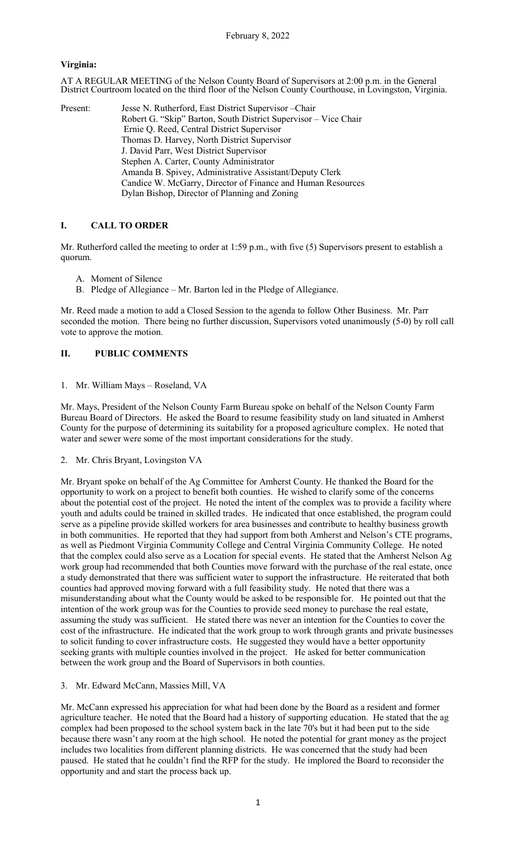### **Virginia:**

AT A REGULAR MEETING of the Nelson County Board of Supervisors at 2:00 p.m. in the General District Courtroom located on the third floor of the Nelson County Courthouse, in Lovingston, Virginia.

| Present: | Jesse N. Rutherford, East District Supervisor - Chair           |
|----------|-----------------------------------------------------------------|
|          | Robert G. "Skip" Barton, South District Supervisor – Vice Chair |
|          | Ernie Q. Reed, Central District Supervisor                      |
|          | Thomas D. Harvey, North District Supervisor                     |
|          | J. David Parr, West District Supervisor                         |
|          | Stephen A. Carter, County Administrator                         |
|          | Amanda B. Spivey, Administrative Assistant/Deputy Clerk         |
|          | Candice W. McGarry, Director of Finance and Human Resources     |
|          | Dylan Bishop, Director of Planning and Zoning                   |

# **I. CALL TO ORDER**

Mr. Rutherford called the meeting to order at 1:59 p.m., with five (5) Supervisors present to establish a quorum.

- A. Moment of Silence
- B. Pledge of Allegiance Mr. Barton led in the Pledge of Allegiance.

Mr. Reed made a motion to add a Closed Session to the agenda to follow Other Business. Mr. Parr seconded the motion. There being no further discussion, Supervisors voted unanimously (5-0) by roll call vote to approve the motion.

### **II. PUBLIC COMMENTS**

1. Mr. William Mays – Roseland, VA

Mr. Mays, President of the Nelson County Farm Bureau spoke on behalf of the Nelson County Farm Bureau Board of Directors. He asked the Board to resume feasibility study on land situated in Amherst County for the purpose of determining its suitability for a proposed agriculture complex. He noted that water and sewer were some of the most important considerations for the study.

2. Mr. Chris Bryant, Lovingston VA

Mr. Bryant spoke on behalf of the Ag Committee for Amherst County. He thanked the Board for the opportunity to work on a project to benefit both counties. He wished to clarify some of the concerns about the potential cost of the project. He noted the intent of the complex was to provide a facility where youth and adults could be trained in skilled trades. He indicated that once established, the program could serve as a pipeline provide skilled workers for area businesses and contribute to healthy business growth in both communities. He reported that they had support from both Amherst and Nelson's CTE programs, as well as Piedmont Virginia Community College and Central Virginia Community College. He noted that the complex could also serve as a Location for special events. He stated that the Amherst Nelson Ag work group had recommended that both Counties move forward with the purchase of the real estate, once a study demonstrated that there was sufficient water to support the infrastructure. He reiterated that both counties had approved moving forward with a full feasibility study. He noted that there was a misunderstanding about what the County would be asked to be responsible for. He pointed out that the intention of the work group was for the Counties to provide seed money to purchase the real estate, assuming the study was sufficient. He stated there was never an intention for the Counties to cover the cost of the infrastructure. He indicated that the work group to work through grants and private businesses to solicit funding to cover infrastructure costs. He suggested they would have a better opportunity seeking grants with multiple counties involved in the project. He asked for better communication between the work group and the Board of Supervisors in both counties.

#### 3. Mr. Edward McCann, Massies Mill, VA

Mr. McCann expressed his appreciation for what had been done by the Board as a resident and former agriculture teacher. He noted that the Board had a history of supporting education. He stated that the ag complex had been proposed to the school system back in the late 70's but it had been put to the side because there wasn't any room at the high school. He noted the potential for grant money as the project includes two localities from different planning districts. He was concerned that the study had been paused. He stated that he couldn't find the RFP for the study. He implored the Board to reconsider the opportunity and and start the process back up.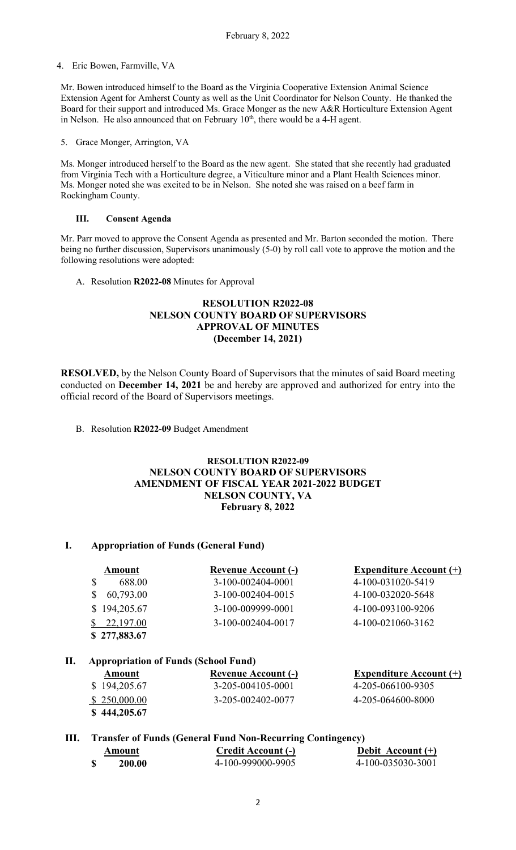4. Eric Bowen, Farmville, VA

Mr. Bowen introduced himself to the Board as the Virginia Cooperative Extension Animal Science Extension Agent for Amherst County as well as the Unit Coordinator for Nelson County. He thanked the Board for their support and introduced Ms. Grace Monger as the new A&R Horticulture Extension Agent in Nelson. He also announced that on February  $10<sup>th</sup>$ , there would be a 4-H agent.

5. Grace Monger, Arrington, VA

Ms. Monger introduced herself to the Board as the new agent. She stated that she recently had graduated from Virginia Tech with a Horticulture degree, a Viticulture minor and a Plant Health Sciences minor. Ms. Monger noted she was excited to be in Nelson. She noted she was raised on a beef farm in Rockingham County.

### **III. Consent Agenda**

Mr. Parr moved to approve the Consent Agenda as presented and Mr. Barton seconded the motion. There being no further discussion, Supervisors unanimously (5-0) by roll call vote to approve the motion and the following resolutions were adopted:

A. Resolution **R2022-08** Minutes for Approval

# **RESOLUTION R2022-08 NELSON COUNTY BOARD OF SUPERVISORS APPROVAL OF MINUTES (December 14, 2021)**

**RESOLVED,** by the Nelson County Board of Supervisors that the minutes of said Board meeting conducted on **December 14, 2021** be and hereby are approved and authorized for entry into the official record of the Board of Supervisors meetings.

B. Resolution **R2022-09** Budget Amendment

# **RESOLUTION R2022-09 NELSON COUNTY BOARD OF SUPERVISORS AMENDMENT OF FISCAL YEAR 2021-2022 BUDGET NELSON COUNTY, VA February 8, 2022**

# **I. Appropriation of Funds (General Fund)**

| Amount       | <b>Revenue Account (-)</b> | <b>Expenditure Account (+)</b> |
|--------------|----------------------------|--------------------------------|
| 688.00       | 3-100-002404-0001          | 4-100-031020-5419              |
| 60,793.00    | 3-100-002404-0015          | 4-100-032020-5648              |
| \$194,205.67 | 3-100-009999-0001          | 4-100-093100-9206              |
| \$22,197.00  | 3-100-002404-0017          | 4-100-021060-3162              |
| \$277,883.67 |                            |                                |

# **II. Appropriation of Funds (School Fund)**

| Amount       | <b>Revenue Account (-)</b> | Expenditure Account $(+)$ |
|--------------|----------------------------|---------------------------|
| \$194,205.67 | 3-205-004105-0001          | 4-205-066100-9305         |
| \$250,000.00 | 3-205-002402-0077          | 4-205-064600-8000         |
| \$444,205.67 |                            |                           |

# **III. Transfer of Funds (General Fund Non-Recurring Contingency)**

| Amount | <b>Credit Account (-)</b> | Debit Account $(+)$ |
|--------|---------------------------|---------------------|
| 200.00 | 4-100-999000-9905         | 4-100-035030-3001   |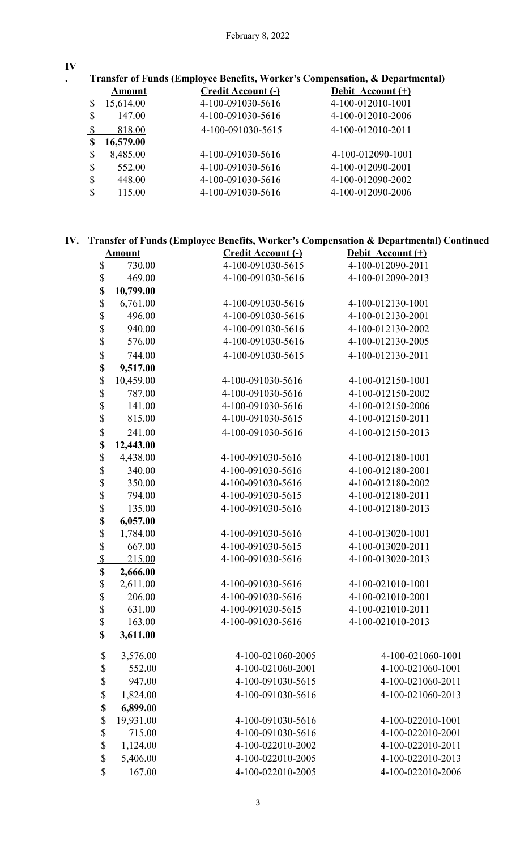**IV**

**. Transfer of Funds (Employee Benefits, Worker's Compensation, & Departmental)** 

|               | Amount    | <b>Credit Account (-)</b> | Debit Account (+) |
|---------------|-----------|---------------------------|-------------------|
| \$            | 15,614.00 | 4-100-091030-5616         | 4-100-012010-1001 |
| $\mathcal{S}$ | 147.00    | 4-100-091030-5616         | 4-100-012010-2006 |
| $\mathbb{S}$  | 818.00    | 4-100-091030-5615         | 4-100-012010-2011 |
| $\mathbf S$   | 16,579.00 |                           |                   |
| $\mathbb{S}$  | 8,485.00  | 4-100-091030-5616         | 4-100-012090-1001 |
| $\mathbb{S}$  | 552.00    | 4-100-091030-5616         | 4-100-012090-2001 |
| $\mathbb{S}$  | 448.00    | 4-100-091030-5616         | 4-100-012090-2002 |
| $\mathcal{S}$ | 115.00    | 4-100-091030-5616         | 4-100-012090-2006 |

# **IV. Transfer of Funds (Employee Benefits, Worker's Compensation & Departmental) Continued**

|                                                       | <b>Amount</b> | Credit Account (-) | Debit Account (+) |
|-------------------------------------------------------|---------------|--------------------|-------------------|
| \$                                                    | 730.00        | 4-100-091030-5615  | 4-100-012090-2011 |
| $\overline{\mathcal{L}}$                              | 469.00        | 4-100-091030-5616  | 4-100-012090-2013 |
| \$                                                    | 10,799.00     |                    |                   |
| \$                                                    | 6,761.00      | 4-100-091030-5616  | 4-100-012130-1001 |
|                                                       | 496.00        | 4-100-091030-5616  | 4-100-012130-2001 |
| $\begin{array}{c}\n\text{S} \\ \text{S}\n\end{array}$ | 940.00        | 4-100-091030-5616  | 4-100-012130-2002 |
|                                                       | 576.00        | 4-100-091030-5616  | 4-100-012130-2005 |
| $\frac{1}{2}$                                         | 744.00        | 4-100-091030-5615  | 4-100-012130-2011 |
| \$                                                    | 9,517.00      |                    |                   |
| \$                                                    | 10,459.00     | 4-100-091030-5616  | 4-100-012150-1001 |
| \$                                                    | 787.00        | 4-100-091030-5616  | 4-100-012150-2002 |
| $\frac{1}{3}$                                         | 141.00        | 4-100-091030-5616  | 4-100-012150-2006 |
|                                                       | 815.00        | 4-100-091030-5615  | 4-100-012150-2011 |
| $rac{S}{S}$                                           | 241.00        | 4-100-091030-5616  | 4-100-012150-2013 |
|                                                       | 12,443.00     |                    |                   |
| \$                                                    | 4,438.00      | 4-100-091030-5616  | 4-100-012180-1001 |
| 888                                                   | 340.00        | 4-100-091030-5616  | 4-100-012180-2001 |
|                                                       | 350.00        | 4-100-091030-5616  | 4-100-012180-2002 |
|                                                       | 794.00        | 4-100-091030-5615  | 4-100-012180-2011 |
|                                                       | 135.00        | 4-100-091030-5616  | 4-100-012180-2013 |
| \$                                                    | 6,057.00      |                    |                   |
| $\begin{array}{c}\n\text{S} \\ \text{S}\n\end{array}$ | 1,784.00      | 4-100-091030-5616  | 4-100-013020-1001 |
|                                                       | 667.00        | 4-100-091030-5615  | 4-100-013020-2011 |
|                                                       | 215.00        | 4-100-091030-5616  | 4-100-013020-2013 |
| \$                                                    | 2,666.00      |                    |                   |
| \$                                                    | 2,611.00      | 4-100-091030-5616  | 4-100-021010-1001 |
| \$                                                    | 206.00        | 4-100-091030-5616  | 4-100-021010-2001 |
| \$                                                    | 631.00        | 4-100-091030-5615  | 4-100-021010-2011 |
| $\boldsymbol{\mathsf{S}}$                             | 163.00        | 4-100-091030-5616  | 4-100-021010-2013 |
| \$                                                    | 3,611.00      |                    |                   |
| \$                                                    | 3,576.00      | 4-100-021060-2005  | 4-100-021060-1001 |
| \$                                                    | 552.00        | 4-100-021060-2001  | 4-100-021060-1001 |
| \$                                                    | 947.00        | 4-100-091030-5615  | 4-100-021060-2011 |
| $\overline{\mathbb{S}}$                               | 1,824.00      | 4-100-091030-5616  | 4-100-021060-2013 |
| \$                                                    | 6,899.00      |                    |                   |
| \$                                                    | 19,931.00     | 4-100-091030-5616  | 4-100-022010-1001 |
| \$                                                    | 715.00        | 4-100-091030-5616  | 4-100-022010-2001 |
| \$                                                    | 1,124.00      | 4-100-022010-2002  | 4-100-022010-2011 |
| \$                                                    | 5,406.00      | 4-100-022010-2005  | 4-100-022010-2013 |
| $\frac{1}{2}$                                         | 167.00        | 4-100-022010-2005  | 4-100-022010-2006 |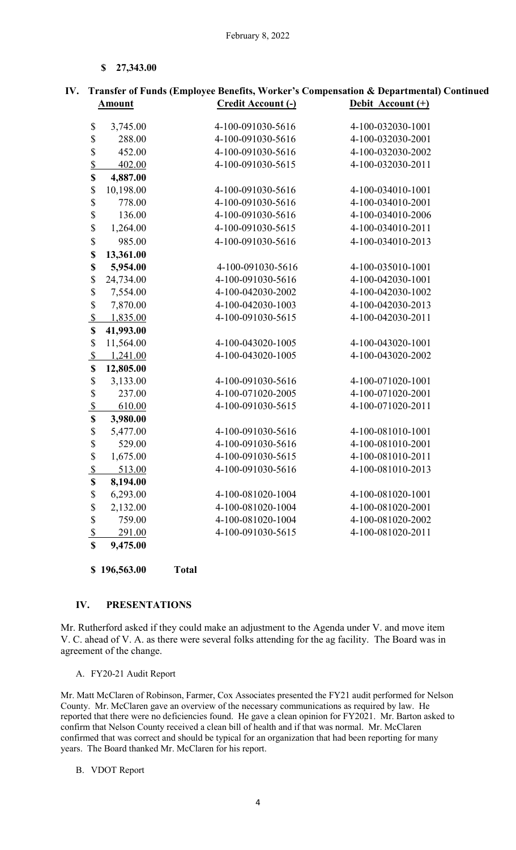**\$ 27,343.00** 

| <b>Amount</b>             |           | Credit Account (-) | Debit Account (+) |
|---------------------------|-----------|--------------------|-------------------|
| \$<br>3,745.00            |           | 4-100-091030-5616  | 4-100-032030-1001 |
| \$                        | 288.00    | 4-100-091030-5616  | 4-100-032030-2001 |
| \$                        | 452.00    | 4-100-091030-5616  | 4-100-032030-2002 |
|                           | 402.00    | 4-100-091030-5615  | 4-100-032030-2011 |
| $\frac{\$}{\$}$           | 4,887.00  |                    |                   |
| \$                        | 10,198.00 | 4-100-091030-5616  | 4-100-034010-1001 |
| \$                        | 778.00    | 4-100-091030-5616  | 4-100-034010-2001 |
| \$                        | 136.00    | 4-100-091030-5616  | 4-100-034010-2006 |
| \$                        | 1,264.00  | 4-100-091030-5615  | 4-100-034010-2011 |
| \$                        | 985.00    | 4-100-091030-5616  | 4-100-034010-2013 |
| \$                        | 13,361.00 |                    |                   |
| \$                        | 5,954.00  | 4-100-091030-5616  | 4-100-035010-1001 |
| \$                        | 24,734.00 | 4-100-091030-5616  | 4-100-042030-1001 |
| \$                        | 7,554.00  | 4-100-042030-2002  | 4-100-042030-1002 |
| \$                        | 7,870.00  | 4-100-042030-1003  | 4-100-042030-2013 |
| $\mathcal{S}$             | 1,835.00  | 4-100-091030-5615  | 4-100-042030-2011 |
| \$                        | 41,993.00 |                    |                   |
| \$                        | 11,564.00 | 4-100-043020-1005  | 4-100-043020-1001 |
| $\mathcal{S}$             | 1,241.00  | 4-100-043020-1005  | 4-100-043020-2002 |
| \$                        | 12,805.00 |                    |                   |
| \$                        | 3,133.00  | 4-100-091030-5616  | 4-100-071020-1001 |
| \$                        | 237.00    | 4-100-071020-2005  | 4-100-071020-2001 |
| $\boldsymbol{\mathsf{S}}$ | 610.00    | 4-100-091030-5615  | 4-100-071020-2011 |
| \$                        | 3,980.00  |                    |                   |
| \$                        | 5,477.00  | 4-100-091030-5616  | 4-100-081010-1001 |
| \$                        | 529.00    | 4-100-091030-5616  | 4-100-081010-2001 |
| \$                        | 1,675.00  | 4-100-091030-5615  | 4-100-081010-2011 |
| $\sqrt{\frac{2}{5}}$      | 513.00    | 4-100-091030-5616  | 4-100-081010-2013 |
| \$                        | 8,194.00  |                    |                   |
| $\boldsymbol{\mathsf{S}}$ | 6,293.00  | 4-100-081020-1004  | 4-100-081020-1001 |
| \$                        | 2,132.00  | 4-100-081020-1004  | 4-100-081020-2001 |
| \$                        | 759.00    | 4-100-081020-1004  | 4-100-081020-2002 |
| $\sqrt{\frac{2}{5}}$      | 291.00    | 4-100-091030-5615  | 4-100-081020-2011 |
| \$                        | 9,475.00  |                    |                   |

**IV. Transfer of Funds (Employee Benefits, Worker's Compensation & Departmental) Continued**

**\$ 196,563.00 Total** 

### **IV. PRESENTATIONS**

Mr. Rutherford asked if they could make an adjustment to the Agenda under V. and move item V. C. ahead of V. A. as there were several folks attending for the ag facility. The Board was in agreement of the change.

A. FY20-21 Audit Report

Mr. Matt McClaren of Robinson, Farmer, Cox Associates presented the FY21 audit performed for Nelson County. Mr. McClaren gave an overview of the necessary communications as required by law. He reported that there were no deficiencies found. He gave a clean opinion for FY2021. Mr. Barton asked to confirm that Nelson County received a clean bill of health and if that was normal. Mr. McClaren confirmed that was correct and should be typical for an organization that had been reporting for many years. The Board thanked Mr. McClaren for his report.

### B. VDOT Report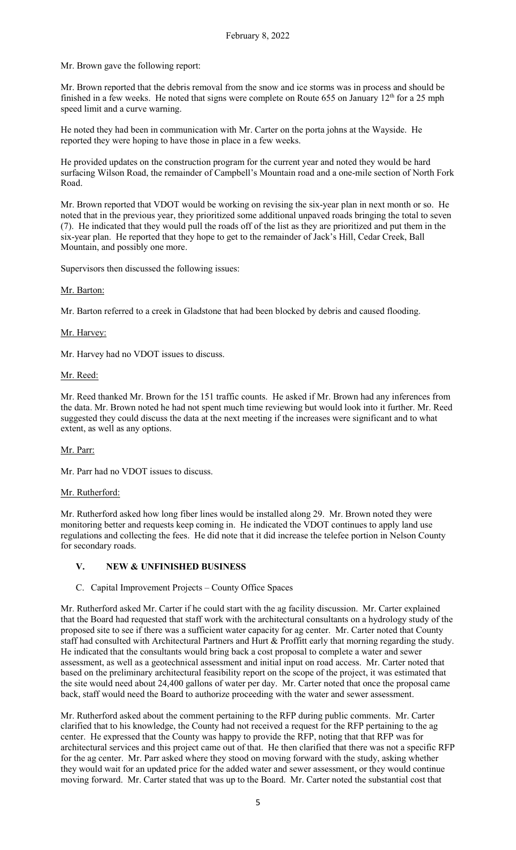Mr. Brown gave the following report:

Mr. Brown reported that the debris removal from the snow and ice storms was in process and should be finished in a few weeks. He noted that signs were complete on Route 655 on January  $12<sup>th</sup>$  for a 25 mph speed limit and a curve warning.

He noted they had been in communication with Mr. Carter on the porta johns at the Wayside. He reported they were hoping to have those in place in a few weeks.

He provided updates on the construction program for the current year and noted they would be hard surfacing Wilson Road, the remainder of Campbell's Mountain road and a one-mile section of North Fork Road.

Mr. Brown reported that VDOT would be working on revising the six-year plan in next month or so. He noted that in the previous year, they prioritized some additional unpaved roads bringing the total to seven (7). He indicated that they would pull the roads off of the list as they are prioritized and put them in the six-year plan. He reported that they hope to get to the remainder of Jack's Hill, Cedar Creek, Ball Mountain, and possibly one more.

Supervisors then discussed the following issues:

Mr. Barton:

Mr. Barton referred to a creek in Gladstone that had been blocked by debris and caused flooding.

Mr. Harvey:

Mr. Harvey had no VDOT issues to discuss.

Mr. Reed:

Mr. Reed thanked Mr. Brown for the 151 traffic counts. He asked if Mr. Brown had any inferences from the data. Mr. Brown noted he had not spent much time reviewing but would look into it further. Mr. Reed suggested they could discuss the data at the next meeting if the increases were significant and to what extent, as well as any options.

# Mr. Parr:

Mr. Parr had no VDOT issues to discuss.

### Mr. Rutherford:

Mr. Rutherford asked how long fiber lines would be installed along 29. Mr. Brown noted they were monitoring better and requests keep coming in. He indicated the VDOT continues to apply land use regulations and collecting the fees. He did note that it did increase the telefee portion in Nelson County for secondary roads.

### **V. NEW & UNFINISHED BUSINESS**

### C. Capital Improvement Projects – County Office Spaces

Mr. Rutherford asked Mr. Carter if he could start with the ag facility discussion. Mr. Carter explained that the Board had requested that staff work with the architectural consultants on a hydrology study of the proposed site to see if there was a sufficient water capacity for ag center. Mr. Carter noted that County staff had consulted with Architectural Partners and Hurt & Proffitt early that morning regarding the study. He indicated that the consultants would bring back a cost proposal to complete a water and sewer assessment, as well as a geotechnical assessment and initial input on road access. Mr. Carter noted that based on the preliminary architectural feasibility report on the scope of the project, it was estimated that the site would need about 24,400 gallons of water per day. Mr. Carter noted that once the proposal came back, staff would need the Board to authorize proceeding with the water and sewer assessment.

Mr. Rutherford asked about the comment pertaining to the RFP during public comments. Mr. Carter clarified that to his knowledge, the County had not received a request for the RFP pertaining to the ag center. He expressed that the County was happy to provide the RFP, noting that that RFP was for architectural services and this project came out of that. He then clarified that there was not a specific RFP for the ag center. Mr. Parr asked where they stood on moving forward with the study, asking whether they would wait for an updated price for the added water and sewer assessment, or they would continue moving forward. Mr. Carter stated that was up to the Board. Mr. Carter noted the substantial cost that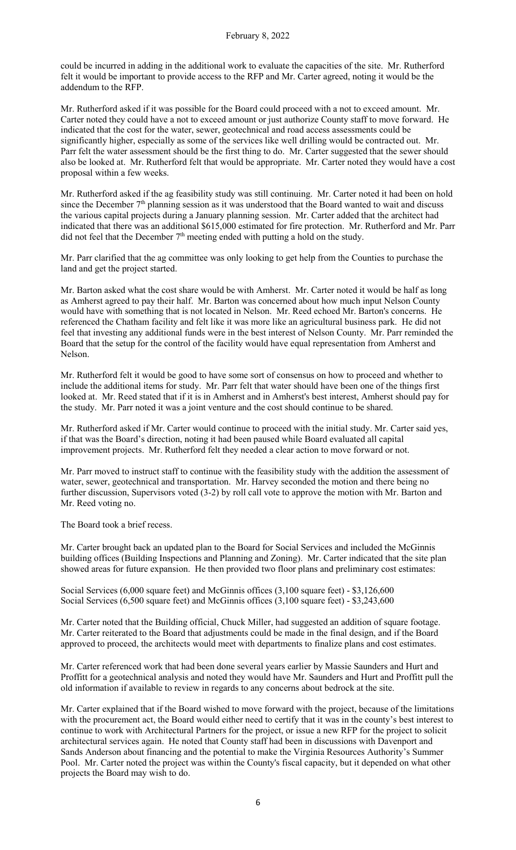could be incurred in adding in the additional work to evaluate the capacities of the site. Mr. Rutherford felt it would be important to provide access to the RFP and Mr. Carter agreed, noting it would be the addendum to the RFP.

Mr. Rutherford asked if it was possible for the Board could proceed with a not to exceed amount. Mr. Carter noted they could have a not to exceed amount or just authorize County staff to move forward. He indicated that the cost for the water, sewer, geotechnical and road access assessments could be significantly higher, especially as some of the services like well drilling would be contracted out. Mr. Parr felt the water assessment should be the first thing to do. Mr. Carter suggested that the sewer should also be looked at. Mr. Rutherford felt that would be appropriate. Mr. Carter noted they would have a cost proposal within a few weeks.

Mr. Rutherford asked if the ag feasibility study was still continuing. Mr. Carter noted it had been on hold since the December 7<sup>th</sup> planning session as it was understood that the Board wanted to wait and discuss the various capital projects during a January planning session. Mr. Carter added that the architect had indicated that there was an additional \$615,000 estimated for fire protection. Mr. Rutherford and Mr. Parr did not feel that the December  $7<sup>th</sup>$  meeting ended with putting a hold on the study.

Mr. Parr clarified that the ag committee was only looking to get help from the Counties to purchase the land and get the project started.

Mr. Barton asked what the cost share would be with Amherst. Mr. Carter noted it would be half as long as Amherst agreed to pay their half. Mr. Barton was concerned about how much input Nelson County would have with something that is not located in Nelson. Mr. Reed echoed Mr. Barton's concerns. He referenced the Chatham facility and felt like it was more like an agricultural business park. He did not feel that investing any additional funds were in the best interest of Nelson County. Mr. Parr reminded the Board that the setup for the control of the facility would have equal representation from Amherst and Nelson.

Mr. Rutherford felt it would be good to have some sort of consensus on how to proceed and whether to include the additional items for study. Mr. Parr felt that water should have been one of the things first looked at. Mr. Reed stated that if it is in Amherst and in Amherst's best interest, Amherst should pay for the study. Mr. Parr noted it was a joint venture and the cost should continue to be shared.

Mr. Rutherford asked if Mr. Carter would continue to proceed with the initial study. Mr. Carter said yes, if that was the Board's direction, noting it had been paused while Board evaluated all capital improvement projects. Mr. Rutherford felt they needed a clear action to move forward or not.

Mr. Parr moved to instruct staff to continue with the feasibility study with the addition the assessment of water, sewer, geotechnical and transportation. Mr. Harvey seconded the motion and there being no further discussion, Supervisors voted (3-2) by roll call vote to approve the motion with Mr. Barton and Mr. Reed voting no.

The Board took a brief recess.

Mr. Carter brought back an updated plan to the Board for Social Services and included the McGinnis building offices (Building Inspections and Planning and Zoning). Mr. Carter indicated that the site plan showed areas for future expansion. He then provided two floor plans and preliminary cost estimates:

Social Services (6,000 square feet) and McGinnis offices (3,100 square feet) - \$3,126,600 Social Services (6,500 square feet) and McGinnis offices (3,100 square feet) - \$3,243,600

Mr. Carter noted that the Building official, Chuck Miller, had suggested an addition of square footage. Mr. Carter reiterated to the Board that adjustments could be made in the final design, and if the Board approved to proceed, the architects would meet with departments to finalize plans and cost estimates.

Mr. Carter referenced work that had been done several years earlier by Massie Saunders and Hurt and Proffitt for a geotechnical analysis and noted they would have Mr. Saunders and Hurt and Proffitt pull the old information if available to review in regards to any concerns about bedrock at the site.

Mr. Carter explained that if the Board wished to move forward with the project, because of the limitations with the procurement act, the Board would either need to certify that it was in the county's best interest to continue to work with Architectural Partners for the project, or issue a new RFP for the project to solicit architectural services again. He noted that County staff had been in discussions with Davenport and Sands Anderson about financing and the potential to make the Virginia Resources Authority's Summer Pool. Mr. Carter noted the project was within the County's fiscal capacity, but it depended on what other projects the Board may wish to do.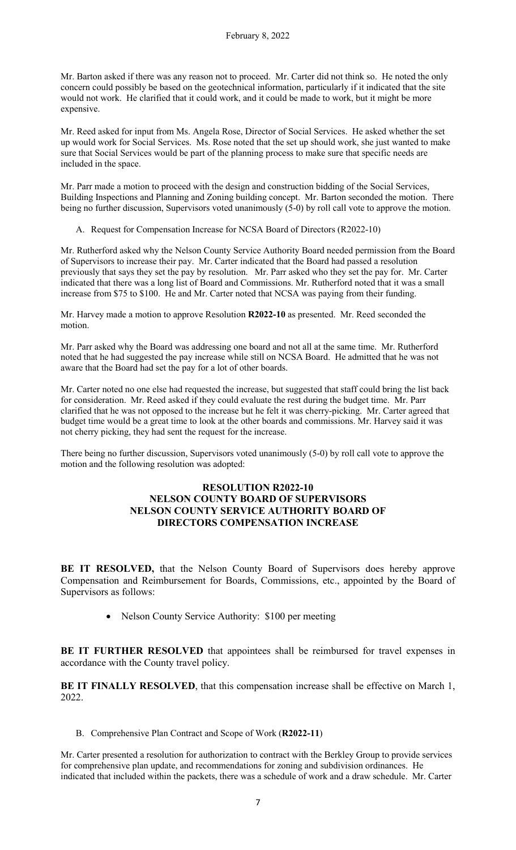Mr. Barton asked if there was any reason not to proceed. Mr. Carter did not think so. He noted the only concern could possibly be based on the geotechnical information, particularly if it indicated that the site would not work. He clarified that it could work, and it could be made to work, but it might be more expensive.

Mr. Reed asked for input from Ms. Angela Rose, Director of Social Services. He asked whether the set up would work for Social Services. Ms. Rose noted that the set up should work, she just wanted to make sure that Social Services would be part of the planning process to make sure that specific needs are included in the space.

Mr. Parr made a motion to proceed with the design and construction bidding of the Social Services, Building Inspections and Planning and Zoning building concept. Mr. Barton seconded the motion. There being no further discussion, Supervisors voted unanimously  $(5-0)$  by roll call vote to approve the motion.

A. Request for Compensation Increase for NCSA Board of Directors (R2022-10)

Mr. Rutherford asked why the Nelson County Service Authority Board needed permission from the Board of Supervisors to increase their pay. Mr. Carter indicated that the Board had passed a resolution previously that says they set the pay by resolution. Mr. Parr asked who they set the pay for. Mr. Carter indicated that there was a long list of Board and Commissions. Mr. Rutherford noted that it was a small increase from \$75 to \$100. He and Mr. Carter noted that NCSA was paying from their funding.

Mr. Harvey made a motion to approve Resolution **R2022-10** as presented. Mr. Reed seconded the motion.

Mr. Parr asked why the Board was addressing one board and not all at the same time. Mr. Rutherford noted that he had suggested the pay increase while still on NCSA Board. He admitted that he was not aware that the Board had set the pay for a lot of other boards.

Mr. Carter noted no one else had requested the increase, but suggested that staff could bring the list back for consideration. Mr. Reed asked if they could evaluate the rest during the budget time. Mr. Parr clarified that he was not opposed to the increase but he felt it was cherry-picking. Mr. Carter agreed that budget time would be a great time to look at the other boards and commissions. Mr. Harvey said it was not cherry picking, they had sent the request for the increase.

There being no further discussion, Supervisors voted unanimously (5-0) by roll call vote to approve the motion and the following resolution was adopted:

# **RESOLUTION R2022-10 NELSON COUNTY BOARD OF SUPERVISORS NELSON COUNTY SERVICE AUTHORITY BOARD OF DIRECTORS COMPENSATION INCREASE**

**BE IT RESOLVED,** that the Nelson County Board of Supervisors does hereby approve Compensation and Reimbursement for Boards, Commissions, etc., appointed by the Board of Supervisors as follows:

• Nelson County Service Authority: \$100 per meeting

BE IT FURTHER RESOLVED that appointees shall be reimbursed for travel expenses in accordance with the County travel policy.

BE IT FINALLY RESOLVED, that this compensation increase shall be effective on March 1, 2022.

B. Comprehensive Plan Contract and Scope of Work (**R2022-11**)

Mr. Carter presented a resolution for authorization to contract with the Berkley Group to provide services for comprehensive plan update, and recommendations for zoning and subdivision ordinances. He indicated that included within the packets, there was a schedule of work and a draw schedule. Mr. Carter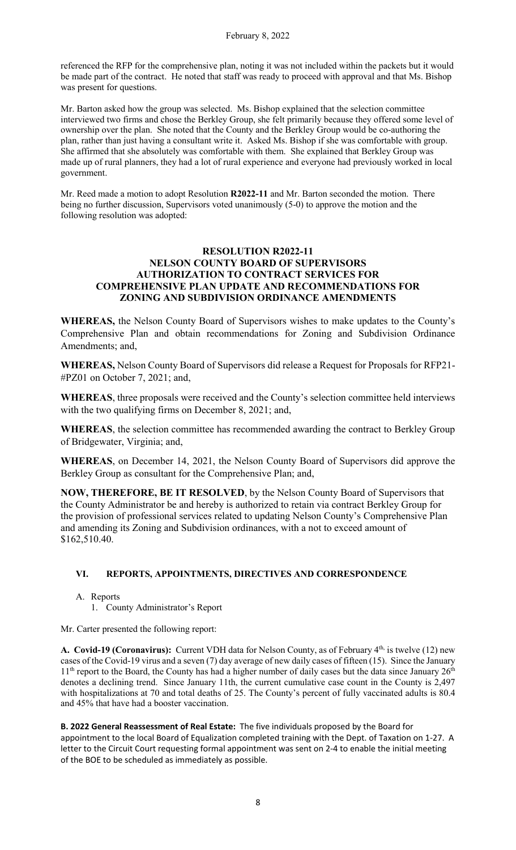referenced the RFP for the comprehensive plan, noting it was not included within the packets but it would be made part of the contract. He noted that staff was ready to proceed with approval and that Ms. Bishop was present for questions.

Mr. Barton asked how the group was selected. Ms. Bishop explained that the selection committee interviewed two firms and chose the Berkley Group, she felt primarily because they offered some level of ownership over the plan. She noted that the County and the Berkley Group would be co-authoring the plan, rather than just having a consultant write it. Asked Ms. Bishop if she was comfortable with group. She affirmed that she absolutely was comfortable with them. She explained that Berkley Group was made up of rural planners, they had a lot of rural experience and everyone had previously worked in local government.

Mr. Reed made a motion to adopt Resolution **R2022-11** and Mr. Barton seconded the motion. There being no further discussion, Supervisors voted unanimously (5-0) to approve the motion and the following resolution was adopted:

### **RESOLUTION R2022-11 NELSON COUNTY BOARD OF SUPERVISORS AUTHORIZATION TO CONTRACT SERVICES FOR COMPREHENSIVE PLAN UPDATE AND RECOMMENDATIONS FOR ZONING AND SUBDIVISION ORDINANCE AMENDMENTS**

**WHEREAS,** the Nelson County Board of Supervisors wishes to make updates to the County's Comprehensive Plan and obtain recommendations for Zoning and Subdivision Ordinance Amendments; and,

**WHEREAS,** Nelson County Board of Supervisors did release a Request for Proposals for RFP21- #PZ01 on October 7, 2021; and,

**WHEREAS**, three proposals were received and the County's selection committee held interviews with the two qualifying firms on December 8, 2021; and,

**WHEREAS**, the selection committee has recommended awarding the contract to Berkley Group of Bridgewater, Virginia; and,

**WHEREAS**, on December 14, 2021, the Nelson County Board of Supervisors did approve the Berkley Group as consultant for the Comprehensive Plan; and,

**NOW, THEREFORE, BE IT RESOLVED**, by the Nelson County Board of Supervisors that the County Administrator be and hereby is authorized to retain via contract Berkley Group for the provision of professional services related to updating Nelson County's Comprehensive Plan and amending its Zoning and Subdivision ordinances, with a not to exceed amount of \$162,510.40.

# **VI. REPORTS, APPOINTMENTS, DIRECTIVES AND CORRESPONDENCE**

- A. Reports
	- 1. County Administrator's Report

Mr. Carter presented the following report:

A. Covid-19 (Coronavirus): Current VDH data for Nelson County, as of February 4<sup>th,</sup> is twelve (12) new cases of the Covid-19 virus and a seven (7) day average of new daily cases of fifteen (15). Since the January  $11<sup>th</sup>$  report to the Board, the County has had a higher number of daily cases but the data since January  $26<sup>th</sup>$ denotes a declining trend. Since January 11th, the current cumulative case count in the County is 2,497 with hospitalizations at 70 and total deaths of 25. The County's percent of fully vaccinated adults is 80.4 and 45% that have had a booster vaccination.

**B. 2022 General Reassessment of Real Estate:** The five individuals proposed by the Board for appointment to the local Board of Equalization completed training with the Dept. of Taxation on 1-27. A letter to the Circuit Court requesting formal appointment was sent on 2-4 to enable the initial meeting of the BOE to be scheduled as immediately as possible.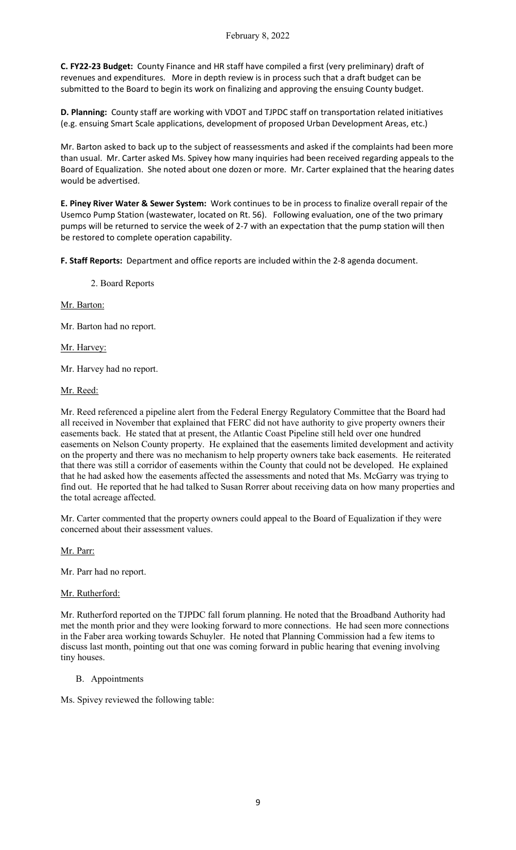**C. FY22-23 Budget:** County Finance and HR staff have compiled a first (very preliminary) draft of revenues and expenditures. More in depth review is in process such that a draft budget can be submitted to the Board to begin its work on finalizing and approving the ensuing County budget.

**D. Planning:** County staff are working with VDOT and TJPDC staff on transportation related initiatives (e.g. ensuing Smart Scale applications, development of proposed Urban Development Areas, etc.)

Mr. Barton asked to back up to the subject of reassessments and asked if the complaints had been more than usual. Mr. Carter asked Ms. Spivey how many inquiries had been received regarding appeals to the Board of Equalization. She noted about one dozen or more. Mr. Carter explained that the hearing dates would be advertised.

**E. Piney River Water & Sewer System:** Work continues to be in process to finalize overall repair of the Usemco Pump Station (wastewater, located on Rt. 56). Following evaluation, one of the two primary pumps will be returned to service the week of 2-7 with an expectation that the pump station will then be restored to complete operation capability.

**F. Staff Reports:** Department and office reports are included within the 2-8 agenda document.

2. Board Reports

Mr. Barton:

Mr. Barton had no report.

Mr. Harvey:

Mr. Harvey had no report.

Mr. Reed:

Mr. Reed referenced a pipeline alert from the Federal Energy Regulatory Committee that the Board had all received in November that explained that FERC did not have authority to give property owners their easements back. He stated that at present, the Atlantic Coast Pipeline still held over one hundred easements on Nelson County property. He explained that the easements limited development and activity on the property and there was no mechanism to help property owners take back easements. He reiterated that there was still a corridor of easements within the County that could not be developed. He explained that he had asked how the easements affected the assessments and noted that Ms. McGarry was trying to find out. He reported that he had talked to Susan Rorrer about receiving data on how many properties and the total acreage affected.

Mr. Carter commented that the property owners could appeal to the Board of Equalization if they were concerned about their assessment values.

Mr. Parr:

Mr. Parr had no report.

# Mr. Rutherford:

Mr. Rutherford reported on the TJPDC fall forum planning. He noted that the Broadband Authority had met the month prior and they were looking forward to more connections. He had seen more connections in the Faber area working towards Schuyler. He noted that Planning Commission had a few items to discuss last month, pointing out that one was coming forward in public hearing that evening involving tiny houses.

# B. Appointments

Ms. Spivey reviewed the following table: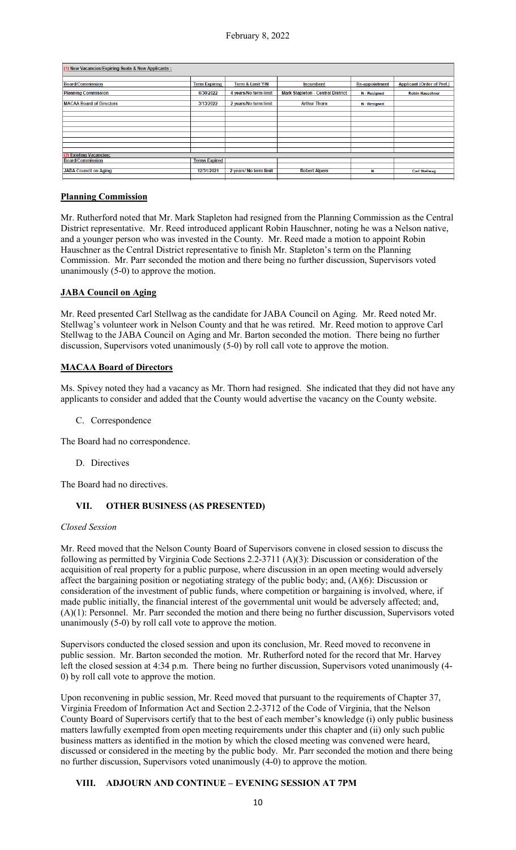| New Vacancies/Expiring Seats & New Applicants: |                      |                        |                                          |                       |                                   |
|------------------------------------------------|----------------------|------------------------|------------------------------------------|-----------------------|-----------------------------------|
|                                                |                      |                        |                                          |                       |                                   |
| <b>Board/Commission</b>                        | <b>Term Expiring</b> | Term & Limit Y/N       | <b>Incumbent</b>                         | <b>Re-appointment</b> | <b>Applicant (Order of Pref.)</b> |
| <b>Planning Commission</b>                     | 6/30/2022            | 4 years/No term limit  | <b>Mark Stapleton - Central District</b> | N - Resigned          | <b>Robin Hauschner</b>            |
| <b>MACAA Board of Directors</b>                | 3/13/2022            | 2 years/No term limit  | <b>Arthur Thorn</b>                      | N - Resigned          |                                   |
|                                                |                      |                        |                                          |                       |                                   |
|                                                |                      |                        |                                          |                       |                                   |
|                                                |                      |                        |                                          |                       |                                   |
|                                                |                      |                        |                                          |                       |                                   |
|                                                |                      |                        |                                          |                       |                                   |
|                                                |                      |                        |                                          |                       |                                   |
|                                                |                      |                        |                                          |                       |                                   |
|                                                |                      |                        |                                          |                       |                                   |
| <b>Existing Vacancies:</b>                     |                      |                        |                                          |                       |                                   |
| <b>Board/Commission</b>                        | <b>Terms Expired</b> |                        |                                          |                       |                                   |
|                                                |                      |                        |                                          |                       |                                   |
| <b>JABA Council on Aging</b>                   | 12/31/2021           | 2 years/ No term limit | <b>Robert Alpers</b>                     | N                     | <b>Carl Stellwag</b>              |
|                                                |                      |                        |                                          |                       |                                   |

### **Planning Commission**

Mr. Rutherford noted that Mr. Mark Stapleton had resigned from the Planning Commission as the Central District representative. Mr. Reed introduced applicant Robin Hauschner, noting he was a Nelson native, and a younger person who was invested in the County. Mr. Reed made a motion to appoint Robin Hauschner as the Central District representative to finish Mr. Stapleton's term on the Planning Commission. Mr. Parr seconded the motion and there being no further discussion, Supervisors voted unanimously (5-0) to approve the motion.

### **JABA Council on Aging**

Mr. Reed presented Carl Stellwag as the candidate for JABA Council on Aging. Mr. Reed noted Mr. Stellwag's volunteer work in Nelson County and that he was retired. Mr. Reed motion to approve Carl Stellwag to the JABA Council on Aging and Mr. Barton seconded the motion. There being no further discussion, Supervisors voted unanimously (5-0) by roll call vote to approve the motion.

# **MACAA Board of Directors**

Ms. Spivey noted they had a vacancy as Mr. Thorn had resigned. She indicated that they did not have any applicants to consider and added that the County would advertise the vacancy on the County website.

C. Correspondence

The Board had no correspondence.

D. Directives

The Board had no directives.

# **VII. OTHER BUSINESS (AS PRESENTED)**

### *Closed Session*

Mr. Reed moved that the Nelson County Board of Supervisors convene in closed session to discuss the following as permitted by Virginia Code Sections 2.2-3711 (A)(3): Discussion or consideration of the acquisition of real property for a public purpose, where discussion in an open meeting would adversely affect the bargaining position or negotiating strategy of the public body; and, (A)(6): Discussion or consideration of the investment of public funds, where competition or bargaining is involved, where, if made public initially, the financial interest of the governmental unit would be adversely affected; and, (A)(1): Personnel. Mr. Parr seconded the motion and there being no further discussion, Supervisors voted unanimously (5-0) by roll call vote to approve the motion.

Supervisors conducted the closed session and upon its conclusion, Mr. Reed moved to reconvene in public session. Mr. Barton seconded the motion. Mr. Rutherford noted for the record that Mr. Harvey left the closed session at 4:34 p.m. There being no further discussion, Supervisors voted unanimously (4- 0) by roll call vote to approve the motion.

Upon reconvening in public session, Mr. Reed moved that pursuant to the requirements of Chapter 37, Virginia Freedom of Information Act and Section 2.2-3712 of the Code of Virginia, that the Nelson County Board of Supervisors certify that to the best of each member's knowledge (i) only public business matters lawfully exempted from open meeting requirements under this chapter and (ii) only such public business matters as identified in the motion by which the closed meeting was convened were heard, discussed or considered in the meeting by the public body. Mr. Parr seconded the motion and there being no further discussion, Supervisors voted unanimously (4-0) to approve the motion.

# **VIII. ADJOURN AND CONTINUE – EVENING SESSION AT 7PM**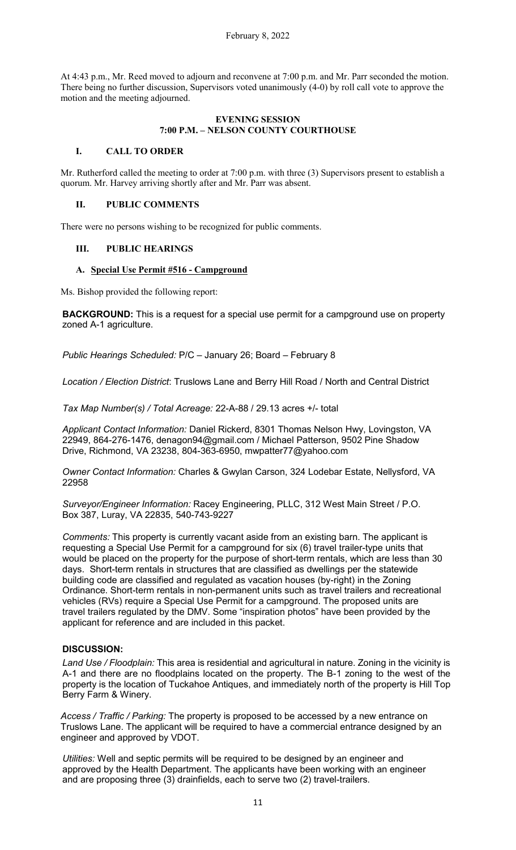At 4:43 p.m., Mr. Reed moved to adjourn and reconvene at 7:00 p.m. and Mr. Parr seconded the motion. There being no further discussion, Supervisors voted unanimously (4-0) by roll call vote to approve the motion and the meeting adjourned.

### **EVENING SESSION 7:00 P.M. – NELSON COUNTY COURTHOUSE**

### **I. CALL TO ORDER**

Mr. Rutherford called the meeting to order at 7:00 p.m. with three (3) Supervisors present to establish a quorum. Mr. Harvey arriving shortly after and Mr. Parr was absent.

### **II. PUBLIC COMMENTS**

There were no persons wishing to be recognized for public comments.

### **III. PUBLIC HEARINGS**

### **A. Special Use Permit #516 - Campground**

Ms. Bishop provided the following report:

**BACKGROUND:** This is a request for a special use permit for a campground use on property zoned A-1 agriculture.

*Public Hearings Scheduled:* P/C – January 26; Board – February 8

*Location / Election District*: Truslows Lane and Berry Hill Road / North and Central District

*Tax Map Number(s) / Total Acreage:* 22-A-88 / 29.13 acres +/- total

*Applicant Contact Information:* Daniel Rickerd, 8301 Thomas Nelson Hwy, Lovingston, VA 22949, 864-276-1476, [denagon94@gmail.com /](mailto:denagon94@gmail.com) Michael Patterson, 9502 Pine Shadow Drive, Richmond, VA 23238, 804-363-6950, [mwpatter77@yahoo.com](mailto:mwpatter77@yahoo.com)

*Owner Contact Information:* Charles & Gwylan Carson, 324 Lodebar Estate, Nellysford, VA 22958

*Surveyor/Engineer Information:* Racey Engineering, PLLC, 312 West Main Street / P.O. Box 387, Luray, VA 22835, 540-743-9227

*Comments:* This property is currently vacant aside from an existing barn. The applicant is requesting a Special Use Permit for a campground for six (6) travel trailer-type units that would be placed on the property for the purpose of short-term rentals, which are less than 30 days. Short-term rentals in structures that are classified as dwellings per the statewide building code are classified and regulated as vacation houses (by-right) in the Zoning Ordinance. Short-term rentals in non-permanent units such as travel trailers and recreational vehicles (RVs) require a Special Use Permit for a campground. The proposed units are travel trailers regulated by the DMV. Some "inspiration photos" have been provided by the applicant for reference and are included in this packet.

# **DISCUSSION:**

*Land Use / Floodplain:* This area is residential and agricultural in nature. Zoning in the vicinity is A-1 and there are no floodplains located on the property. The B-1 zoning to the west of the property is the location of Tuckahoe Antiques, and immediately north of the property is Hill Top Berry Farm & Winery.

*Access / Traffic / Parking:* The property is proposed to be accessed by a new entrance on Truslows Lane. The applicant will be required to have a commercial entrance designed by an engineer and approved by VDOT.

*Utilities:* Well and septic permits will be required to be designed by an engineer and approved by the Health Department. The applicants have been working with an engineer and are proposing three (3) drainfields, each to serve two (2) travel-trailers.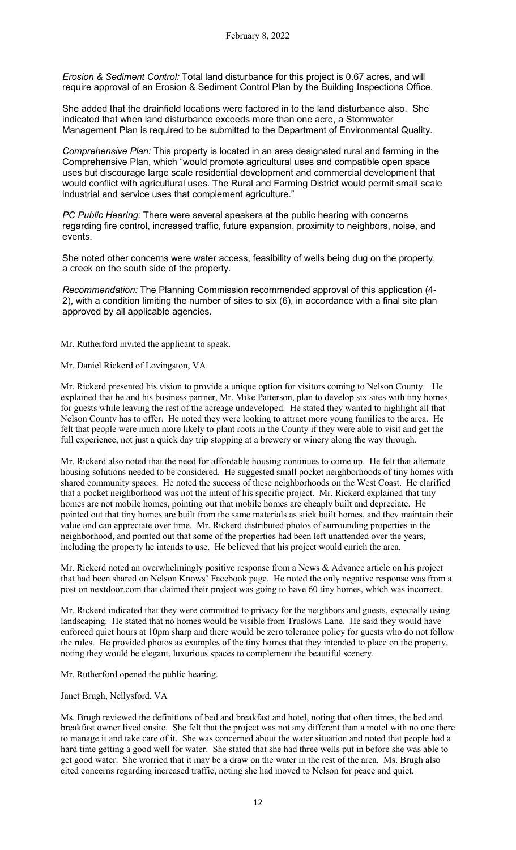*Erosion & Sediment Control:* Total land disturbance for this project is 0.67 acres, and will require approval of an Erosion & Sediment Control Plan by the Building Inspections Office.

She added that the drainfield locations were factored in to the land disturbance also. She indicated that when land disturbance exceeds more than one acre, a Stormwater Management Plan is required to be submitted to the Department of Environmental Quality.

*Comprehensive Plan:* This property is located in an area designated rural and farming in the Comprehensive Plan, which "would promote agricultural uses and compatible open space uses but discourage large scale residential development and commercial development that would conflict with agricultural uses. The Rural and Farming District would permit small scale industrial and service uses that complement agriculture."

*PC Public Hearing:* There were several speakers at the public hearing with concerns regarding fire control, increased traffic, future expansion, proximity to neighbors, noise, and events.

She noted other concerns were water access, feasibility of wells being dug on the property, a creek on the south side of the property.

*Recommendation:* The Planning Commission recommended approval of this application (4- 2), with a condition limiting the number of sites to six (6), in accordance with a final site plan approved by all applicable agencies.

Mr. Rutherford invited the applicant to speak.

Mr. Daniel Rickerd of Lovingston, VA

Mr. Rickerd presented his vision to provide a unique option for visitors coming to Nelson County. He explained that he and his business partner, Mr. Mike Patterson, plan to develop six sites with tiny homes for guests while leaving the rest of the acreage undeveloped. He stated they wanted to highlight all that Nelson County has to offer. He noted they were looking to attract more young families to the area. He felt that people were much more likely to plant roots in the County if they were able to visit and get the full experience, not just a quick day trip stopping at a brewery or winery along the way through.

Mr. Rickerd also noted that the need for affordable housing continues to come up. He felt that alternate housing solutions needed to be considered. He suggested small pocket neighborhoods of tiny homes with shared community spaces. He noted the success of these neighborhoods on the West Coast. He clarified that a pocket neighborhood was not the intent of his specific project. Mr. Rickerd explained that tiny homes are not mobile homes, pointing out that mobile homes are cheaply built and depreciate. He pointed out that tiny homes are built from the same materials as stick built homes, and they maintain their value and can appreciate over time. Mr. Rickerd distributed photos of surrounding properties in the neighborhood, and pointed out that some of the properties had been left unattended over the years, including the property he intends to use. He believed that his project would enrich the area.

Mr. Rickerd noted an overwhelmingly positive response from a News & Advance article on his project that had been shared on Nelson Knows' Facebook page. He noted the only negative response was from a post on nextdoor.com that claimed their project was going to have 60 tiny homes, which was incorrect.

Mr. Rickerd indicated that they were committed to privacy for the neighbors and guests, especially using landscaping. He stated that no homes would be visible from Truslows Lane. He said they would have enforced quiet hours at 10pm sharp and there would be zero tolerance policy for guests who do not follow the rules. He provided photos as examples of the tiny homes that they intended to place on the property, noting they would be elegant, luxurious spaces to complement the beautiful scenery.

Mr. Rutherford opened the public hearing.

#### Janet Brugh, Nellysford, VA

Ms. Brugh reviewed the definitions of bed and breakfast and hotel, noting that often times, the bed and breakfast owner lived onsite. She felt that the project was not any different than a motel with no one there to manage it and take care of it. She was concerned about the water situation and noted that people had a hard time getting a good well for water. She stated that she had three wells put in before she was able to get good water. She worried that it may be a draw on the water in the rest of the area. Ms. Brugh also cited concerns regarding increased traffic, noting she had moved to Nelson for peace and quiet.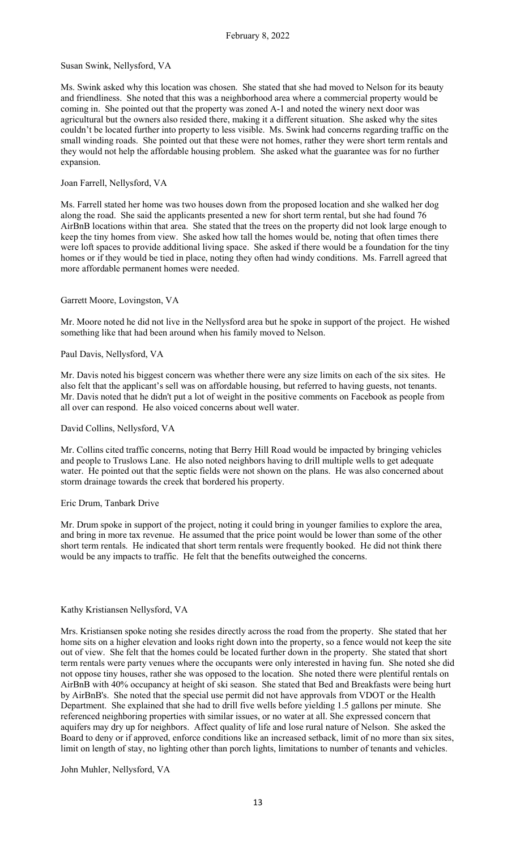#### Susan Swink, Nellysford, VA

Ms. Swink asked why this location was chosen. She stated that she had moved to Nelson for its beauty and friendliness. She noted that this was a neighborhood area where a commercial property would be coming in. She pointed out that the property was zoned A-1 and noted the winery next door was agricultural but the owners also resided there, making it a different situation. She asked why the sites couldn't be located further into property to less visible. Ms. Swink had concerns regarding traffic on the small winding roads. She pointed out that these were not homes, rather they were short term rentals and they would not help the affordable housing problem. She asked what the guarantee was for no further expansion.

#### Joan Farrell, Nellysford, VA

Ms. Farrell stated her home was two houses down from the proposed location and she walked her dog along the road. She said the applicants presented a new for short term rental, but she had found 76 AirBnB locations within that area. She stated that the trees on the property did not look large enough to keep the tiny homes from view. She asked how tall the homes would be, noting that often times there were loft spaces to provide additional living space. She asked if there would be a foundation for the tiny homes or if they would be tied in place, noting they often had windy conditions. Ms. Farrell agreed that more affordable permanent homes were needed.

#### Garrett Moore, Lovingston, VA

Mr. Moore noted he did not live in the Nellysford area but he spoke in support of the project. He wished something like that had been around when his family moved to Nelson.

#### Paul Davis, Nellysford, VA

Mr. Davis noted his biggest concern was whether there were any size limits on each of the six sites. He also felt that the applicant's sell was on affordable housing, but referred to having guests, not tenants. Mr. Davis noted that he didn't put a lot of weight in the positive comments on Facebook as people from all over can respond. He also voiced concerns about well water.

#### David Collins, Nellysford, VA

Mr. Collins cited traffic concerns, noting that Berry Hill Road would be impacted by bringing vehicles and people to Truslows Lane. He also noted neighbors having to drill multiple wells to get adequate water. He pointed out that the septic fields were not shown on the plans. He was also concerned about storm drainage towards the creek that bordered his property.

### Eric Drum, Tanbark Drive

Mr. Drum spoke in support of the project, noting it could bring in younger families to explore the area, and bring in more tax revenue. He assumed that the price point would be lower than some of the other short term rentals. He indicated that short term rentals were frequently booked. He did not think there would be any impacts to traffic. He felt that the benefits outweighed the concerns.

### Kathy Kristiansen Nellysford, VA

Mrs. Kristiansen spoke noting she resides directly across the road from the property. She stated that her home sits on a higher elevation and looks right down into the property, so a fence would not keep the site out of view. She felt that the homes could be located further down in the property. She stated that short term rentals were party venues where the occupants were only interested in having fun. She noted she did not oppose tiny houses, rather she was opposed to the location. She noted there were plentiful rentals on AirBnB with 40% occupancy at height of ski season. She stated that Bed and Breakfasts were being hurt by AirBnB's. She noted that the special use permit did not have approvals from VDOT or the Health Department. She explained that she had to drill five wells before yielding 1.5 gallons per minute. She referenced neighboring properties with similar issues, or no water at all. She expressed concern that aquifers may dry up for neighbors. Affect quality of life and lose rural nature of Nelson. She asked the Board to deny or if approved, enforce conditions like an increased setback, limit of no more than six sites, limit on length of stay, no lighting other than porch lights, limitations to number of tenants and vehicles.

### John Muhler, Nellysford, VA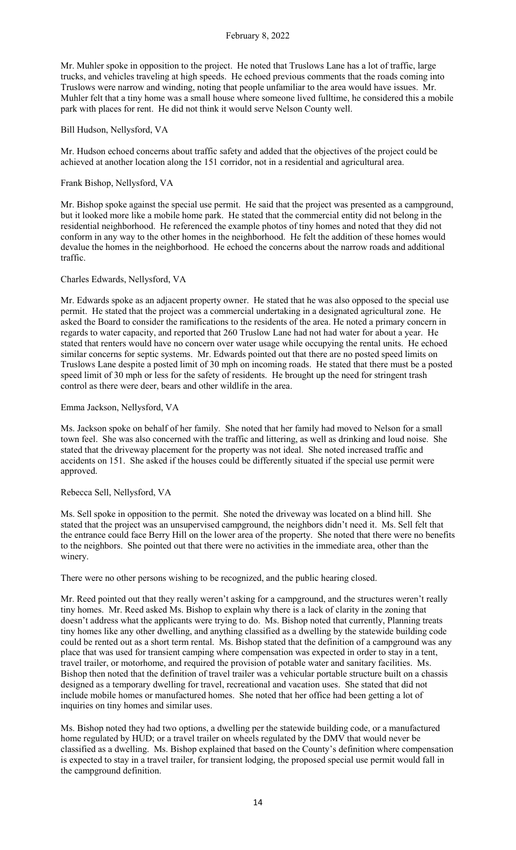Mr. Muhler spoke in opposition to the project. He noted that Truslows Lane has a lot of traffic, large trucks, and vehicles traveling at high speeds. He echoed previous comments that the roads coming into Truslows were narrow and winding, noting that people unfamiliar to the area would have issues. Mr. Muhler felt that a tiny home was a small house where someone lived fulltime, he considered this a mobile park with places for rent. He did not think it would serve Nelson County well.

### Bill Hudson, Nellysford, VA

Mr. Hudson echoed concerns about traffic safety and added that the objectives of the project could be achieved at another location along the 151 corridor, not in a residential and agricultural area.

#### Frank Bishop, Nellysford, VA

Mr. Bishop spoke against the special use permit. He said that the project was presented as a campground, but it looked more like a mobile home park. He stated that the commercial entity did not belong in the residential neighborhood. He referenced the example photos of tiny homes and noted that they did not conform in any way to the other homes in the neighborhood. He felt the addition of these homes would devalue the homes in the neighborhood. He echoed the concerns about the narrow roads and additional traffic.

#### Charles Edwards, Nellysford, VA

Mr. Edwards spoke as an adjacent property owner. He stated that he was also opposed to the special use permit. He stated that the project was a commercial undertaking in a designated agricultural zone. He asked the Board to consider the ramifications to the residents of the area. He noted a primary concern in regards to water capacity, and reported that 260 Truslow Lane had not had water for about a year. He stated that renters would have no concern over water usage while occupying the rental units. He echoed similar concerns for septic systems. Mr. Edwards pointed out that there are no posted speed limits on Truslows Lane despite a posted limit of 30 mph on incoming roads. He stated that there must be a posted speed limit of 30 mph or less for the safety of residents. He brought up the need for stringent trash control as there were deer, bears and other wildlife in the area.

#### Emma Jackson, Nellysford, VA

Ms. Jackson spoke on behalf of her family. She noted that her family had moved to Nelson for a small town feel. She was also concerned with the traffic and littering, as well as drinking and loud noise. She stated that the driveway placement for the property was not ideal. She noted increased traffic and accidents on 151. She asked if the houses could be differently situated if the special use permit were approved.

#### Rebecca Sell, Nellysford, VA

Ms. Sell spoke in opposition to the permit. She noted the driveway was located on a blind hill. She stated that the project was an unsupervised campground, the neighbors didn't need it. Ms. Sell felt that the entrance could face Berry Hill on the lower area of the property. She noted that there were no benefits to the neighbors. She pointed out that there were no activities in the immediate area, other than the winery.

There were no other persons wishing to be recognized, and the public hearing closed.

Mr. Reed pointed out that they really weren't asking for a campground, and the structures weren't really tiny homes. Mr. Reed asked Ms. Bishop to explain why there is a lack of clarity in the zoning that doesn't address what the applicants were trying to do. Ms. Bishop noted that currently, Planning treats tiny homes like any other dwelling, and anything classified as a dwelling by the statewide building code could be rented out as a short term rental. Ms. Bishop stated that the definition of a campground was any place that was used for transient camping where compensation was expected in order to stay in a tent, travel trailer, or motorhome, and required the provision of potable water and sanitary facilities. Ms. Bishop then noted that the definition of travel trailer was a vehicular portable structure built on a chassis designed as a temporary dwelling for travel, recreational and vacation uses. She stated that did not include mobile homes or manufactured homes. She noted that her office had been getting a lot of inquiries on tiny homes and similar uses.

Ms. Bishop noted they had two options, a dwelling per the statewide building code, or a manufactured home regulated by HUD; or a travel trailer on wheels regulated by the DMV that would never be classified as a dwelling. Ms. Bishop explained that based on the County's definition where compensation is expected to stay in a travel trailer, for transient lodging, the proposed special use permit would fall in the campground definition.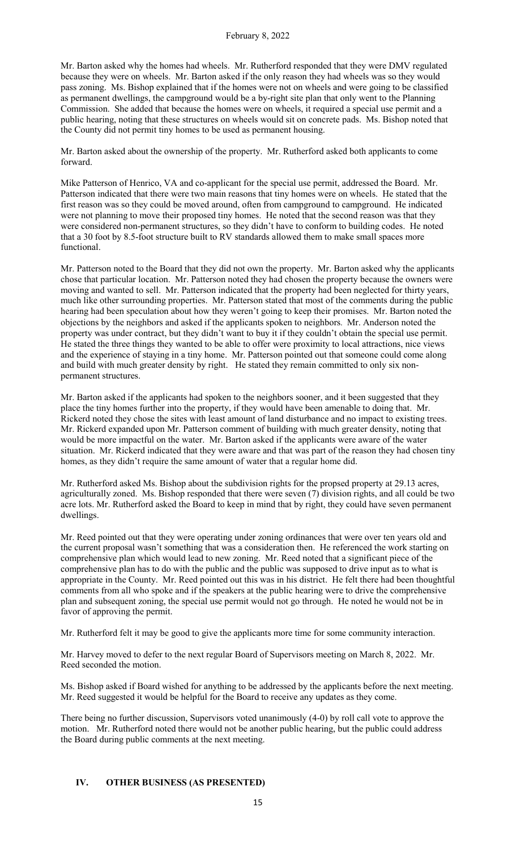Mr. Barton asked why the homes had wheels. Mr. Rutherford responded that they were DMV regulated because they were on wheels. Mr. Barton asked if the only reason they had wheels was so they would pass zoning. Ms. Bishop explained that if the homes were not on wheels and were going to be classified as permanent dwellings, the campground would be a by-right site plan that only went to the Planning Commission. She added that because the homes were on wheels, it required a special use permit and a public hearing, noting that these structures on wheels would sit on concrete pads. Ms. Bishop noted that the County did not permit tiny homes to be used as permanent housing.

Mr. Barton asked about the ownership of the property. Mr. Rutherford asked both applicants to come forward.

Mike Patterson of Henrico, VA and co-applicant for the special use permit, addressed the Board. Mr. Patterson indicated that there were two main reasons that tiny homes were on wheels. He stated that the first reason was so they could be moved around, often from campground to campground. He indicated were not planning to move their proposed tiny homes. He noted that the second reason was that they were considered non-permanent structures, so they didn't have to conform to building codes. He noted that a 30 foot by 8.5-foot structure built to RV standards allowed them to make small spaces more functional.

Mr. Patterson noted to the Board that they did not own the property. Mr. Barton asked why the applicants chose that particular location. Mr. Patterson noted they had chosen the property because the owners were moving and wanted to sell. Mr. Patterson indicated that the property had been neglected for thirty years, much like other surrounding properties. Mr. Patterson stated that most of the comments during the public hearing had been speculation about how they weren't going to keep their promises. Mr. Barton noted the objections by the neighbors and asked if the applicants spoken to neighbors. Mr. Anderson noted the property was under contract, but they didn't want to buy it if they couldn't obtain the special use permit. He stated the three things they wanted to be able to offer were proximity to local attractions, nice views and the experience of staying in a tiny home. Mr. Patterson pointed out that someone could come along and build with much greater density by right. He stated they remain committed to only six nonpermanent structures.

Mr. Barton asked if the applicants had spoken to the neighbors sooner, and it been suggested that they place the tiny homes further into the property, if they would have been amenable to doing that. Mr. Rickerd noted they chose the sites with least amount of land disturbance and no impact to existing trees. Mr. Rickerd expanded upon Mr. Patterson comment of building with much greater density, noting that would be more impactful on the water. Mr. Barton asked if the applicants were aware of the water situation. Mr. Rickerd indicated that they were aware and that was part of the reason they had chosen tiny homes, as they didn't require the same amount of water that a regular home did.

Mr. Rutherford asked Ms. Bishop about the subdivision rights for the propsed property at 29.13 acres, agriculturally zoned. Ms. Bishop responded that there were seven (7) division rights, and all could be two acre lots. Mr. Rutherford asked the Board to keep in mind that by right, they could have seven permanent dwellings.

Mr. Reed pointed out that they were operating under zoning ordinances that were over ten years old and the current proposal wasn't something that was a consideration then. He referenced the work starting on comprehensive plan which would lead to new zoning. Mr. Reed noted that a significant piece of the comprehensive plan has to do with the public and the public was supposed to drive input as to what is appropriate in the County. Mr. Reed pointed out this was in his district. He felt there had been thoughtful comments from all who spoke and if the speakers at the public hearing were to drive the comprehensive plan and subsequent zoning, the special use permit would not go through. He noted he would not be in favor of approving the permit.

Mr. Rutherford felt it may be good to give the applicants more time for some community interaction.

Mr. Harvey moved to defer to the next regular Board of Supervisors meeting on March 8, 2022. Mr. Reed seconded the motion.

Ms. Bishop asked if Board wished for anything to be addressed by the applicants before the next meeting. Mr. Reed suggested it would be helpful for the Board to receive any updates as they come.

There being no further discussion, Supervisors voted unanimously (4-0) by roll call vote to approve the motion. Mr. Rutherford noted there would not be another public hearing, but the public could address the Board during public comments at the next meeting.

### **IV. OTHER BUSINESS (AS PRESENTED)**